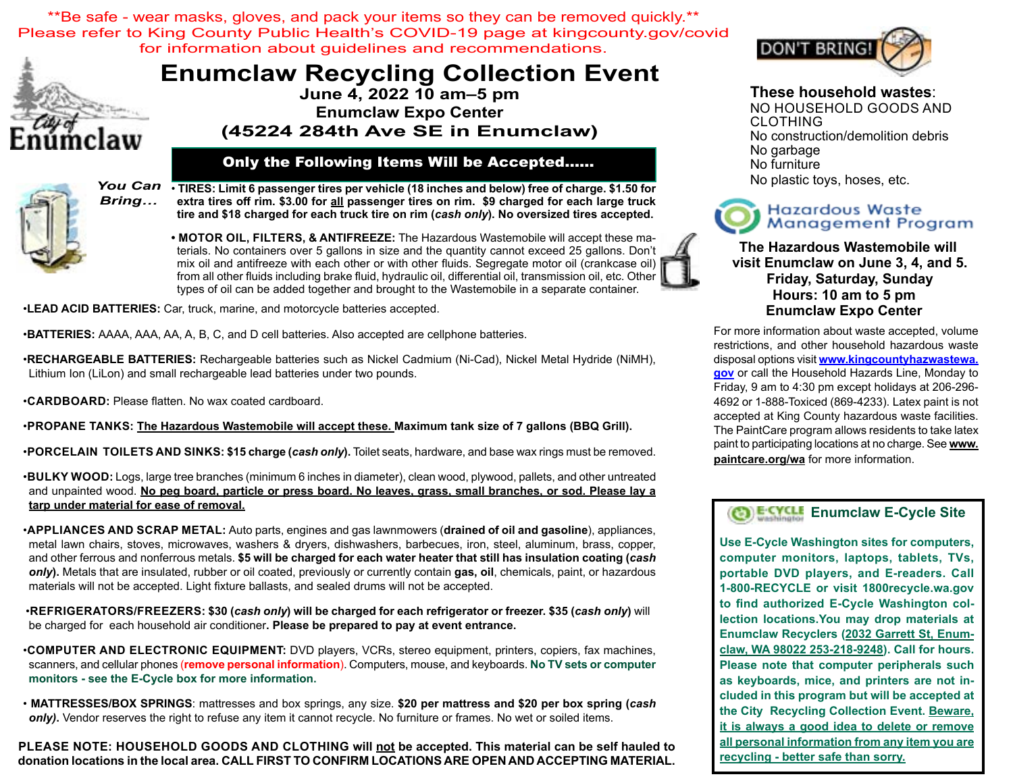\*\*Be safe - wear masks, gloves, and pack your items so they can be removed quickly.\*\* Please refer to King County Public Health's COVID-19 page at kingcounty.gov/covid for information about guidelines and recommendations.



# **Enumclaw Recycling Collection Event June 4, 2022 10 am–5 pm**

**Enumclaw Expo Center (45224 284th Ave SE in Enumclaw)**

#### Only the Following Items Will be Accepted…...



• **TIRES: Limit 6 passenger tires per vehicle (18 inches and below) free of charge. \$1.50 for extra tires off rim. \$3.00 for all passenger tires on rim. \$9 charged for each large truck tire and \$18 charged for each truck tire on rim (***cash only***). No oversized tires accepted.**

**• Motor oil, filters, & ANTIFREEZE:** The Hazardous Wastemobile will accept these materials. No containers over 5 gallons in size and the quantity cannot exceed 25 gallons. Don't mix oil and antifreeze with each other or with other fluids. Segregate motor oil (crankcase oil) from all other fluids including brake fluid, hydraulic oil, differential oil, transmission oil, etc. Other types of oil can be added together and brought to the Wastemobile in a separate container.

•**LEAD ACID BATTERIES:** Car, truck, marine, and motorcycle batteries accepted.

•**BATTERIES:** AAAA, AAA, AA, A, B, C, and D cell batteries. Also accepted are cellphone batteries.

•**RECHARGEABLE BATTERIES:** Rechargeable batteries such as Nickel Cadmium (Ni-Cad), Nickel Metal Hydride (NiMH), Lithium Ion (LiLon) and small rechargeable lead batteries under two pounds.

•**Cardboard:** Please flatten. No wax coated cardboard.

•**PROPANE TANKS: The Hazardous Wastemobile will accept these. Maximum tank size of 7 gallons (BBQ Grill).**

•**Porcelain Toilets and Sinks: \$15 charge (***cash only***).** Toilet seats, hardware, and base wax rings must be removed.

•**bulky wood:** Logs, large tree branches (minimum 6 inches in diameter), clean wood, plywood, pallets, and other untreated and unpainted wood. **No peg board, particle or press board. No leaves, grass, small branches, or sod. Please lay a tarp under material for ease of removal.**

•**Appliances and Scrap Metal:** Auto parts, engines and gas lawnmowers (**drained of oil and gasoline**), appliances, metal lawn chairs, stoves, microwaves, washers & dryers, dishwashers, barbecues, iron, steel, aluminum, brass, copper, and other ferrous and nonferrous metals. **\$5 will be charged for each water heater that still has insulation coating (***cash only***).** Metals that are insulated, rubber or oil coated, previously or currently contain **gas, oil**, chemicals, paint, or hazardous materials will not be accepted. Light fixture ballasts, and sealed drums will not be accepted.

 •**Refrigerators/Freezers: \$30 (***cash only***) will be charged for each refrigerator or freezer. \$35 (***cash only***)** will be charged for each household air conditioner**. Please be prepared to pay at event entrance.** 

•**Computer and ELECTRONIC EQUIPMENT:** DVD players, VCRs, stereo equipment, printers, copiers, fax machines, scanners, and cellular phones (**remove personal information**). Computers, mouse, and keyboards. **No TV sets or computer monitors - see the E-Cycle box for more information.** 

• **MATTRESSES/BOX SPRINGS**: mattresses and box springs, any size. **\$20 per mattress and \$20 per box spring (***cash*  **only)**. Vendor reserves the right to refuse any item it cannot recycle. No furniture or frames. No wet or soiled items.

**PLEASE NoTE: HOUSEHOLD GOODS and Clothing will not be accepted. This material can be self hauled to donation locations in the local area. CALL FIRST TO CONFIRM LOCATIONS ARE OPEN AND ACCEPTING MATERIAL.**



# **These household wastes**:

NO HOUSEHOLD GOODS and CLOTHING No construction/demolition debris No garbage No furniture No plastic toys, hoses, etc.

#### **Hazardous Waste Management Program**

#### **The Hazardous Wastemobile will visit Enumclaw on June 3, 4, and 5. Friday, Saturday, Sunday Hours: 10 am to 5 pm Enumclaw Expo Center**

For more information about waste accepted, volume restrictions, and other household hazardous waste disposal options visit **www.kingcountyhazwastewa. gov** or call the Household Hazards Line, Monday to Friday, 9 am to 4:30 pm except holidays at 206-296- 4692 or 1-888-Toxiced (869-4233). Latex paint is not accepted at King County hazardous waste facilities. The PaintCare program allows residents to take latex paint to participating locations at no charge. See **www. paintcare.org/wa** for more information.

# **BE-CYCLE** Enumclaw E-Cycle Site

**Use E-Cycle Washington sites for computers, computer monitors, laptops, tablets, TVs, portable DVD players, and E-readers. Call 1-800-RECYCLE or visit 1800recycle.wa.gov to find authorized E-Cycle Washington collection locations.You may drop materials at Enumclaw Recyclers (2032 Garrett St, Enumclaw, WA 98022 253-218-9248). Call for hours. Please note that computer peripherals such as keyboards, mice, and printers are not included in this program but will be accepted at the City Recycling Collection Event. Beware, it is always a good idea to delete or remove all personal information from any item you are recycling - better safe than sorry.**